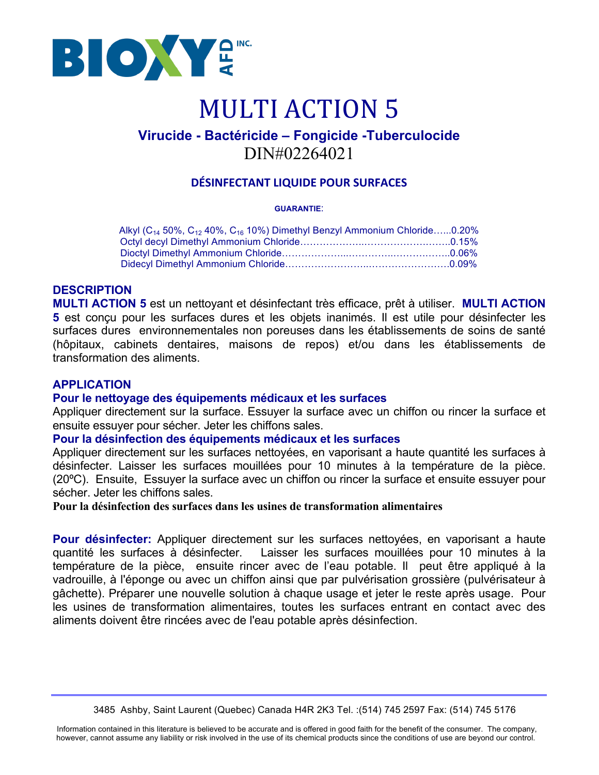

# **MULTI ACTION 5**

### **Virucide - Bactéricide – Fongicide -Tuberculocide** DIN#02264021

#### **DÉSINFECTANT LIQUIDE POUR SURFACES**

#### **GUARANTIE**:

| Alkyl ( $C_{14}$ 50%, $C_{12}$ 40%, $C_{16}$ 10%) Dimethyl Benzyl Ammonium Chloride0.20% |  |
|------------------------------------------------------------------------------------------|--|
|                                                                                          |  |
|                                                                                          |  |
|                                                                                          |  |

#### **DESCRIPTION**

**MULTI ACTION 5** est un nettoyant et désinfectant très efficace, prêt à utiliser. **MULTI ACTION 5** est conçu pour les surfaces dures et les objets inanimés. Il est utile pour désinfecter les surfaces dures environnementales non poreuses dans les établissements de soins de santé (hôpitaux, cabinets dentaires, maisons de repos) et/ou dans les établissements de transformation des aliments.

#### **APPLICATION**

#### **Pour le nettoyage des équipements médicaux et les surfaces**

Appliquer directement sur la surface. Essuyer la surface avec un chiffon ou rincer la surface et ensuite essuyer pour sécher. Jeter les chiffons sales.

#### **Pour la désinfection des équipements médicaux et les surfaces**

Appliquer directement sur les surfaces nettoyées, en vaporisant a haute quantité les surfaces à désinfecter. Laisser les surfaces mouillées pour 10 minutes à la température de la pièce. (20ºC). Ensuite, Essuyer la surface avec un chiffon ou rincer la surface et ensuite essuyer pour sécher. Jeter les chiffons sales.

**Pour la désinfection des surfaces dans les usines de transformation alimentaires**

**Pour désinfecter:** Appliquer directement sur les surfaces nettoyées, en vaporisant a haute quantité les surfaces à désinfecter. Laisser les surfaces mouillées pour 10 minutes à la température de la pièce, ensuite rincer avec de l'eau potable. Il peut être appliqué à la vadrouille, à l'éponge ou avec un chiffon ainsi que par pulvérisation grossière (pulvérisateur à gâchette). Préparer une nouvelle solution à chaque usage et jeter le reste après usage. Pour les usines de transformation alimentaires, toutes les surfaces entrant en contact avec des aliments doivent être rincées avec de l'eau potable après désinfection.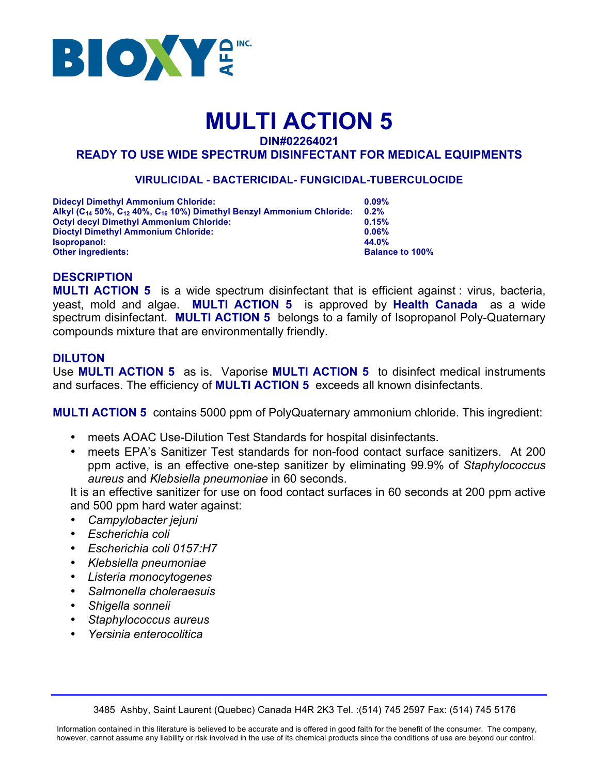

## **MULTI ACTION 5**

**DIN#02264021**

#### **READY TO USE WIDE SPECTRUM DISINFECTANT FOR MEDICAL EQUIPMENTS**

#### **VIRULICIDAL - BACTERICIDAL- FUNGICIDAL-TUBERCULOCIDE**

| <b>Didecyl Dimethyl Ammonium Chloride:</b>                                                               | 0.09%                  |
|----------------------------------------------------------------------------------------------------------|------------------------|
| Alkyl (C <sub>14</sub> 50%, C <sub>12</sub> 40%, C <sub>16</sub> 10%) Dimethyl Benzyl Ammonium Chloride: | $0.2\%$                |
| <b>Octyl decyl Dimethyl Ammonium Chloride:</b>                                                           | 0.15%                  |
| <b>Dioctyl Dimethyl Ammonium Chloride:</b>                                                               | 0.06%                  |
| <b>Isopropanol:</b>                                                                                      | 44.0%                  |
| Other ingredients:                                                                                       | <b>Balance to 100%</b> |
|                                                                                                          |                        |

#### **DESCRIPTION**

**MULTI ACTION 5** is a wide spectrum disinfectant that is efficient against : virus, bacteria, yeast, mold and algae. **MULTI ACTION 5** is approved by **Health Canada** as a wide spectrum disinfectant. **MULTI ACTION 5** belongs to a family of Isopropanol Poly-Quaternary compounds mixture that are environmentally friendly.

#### **DILUTON**

Use **MULTI ACTION 5** as is. Vaporise **MULTI ACTION 5** to disinfect medical instruments and surfaces. The efficiency of **MULTI ACTION 5** exceeds all known disinfectants.

**MULTI ACTION 5** contains 5000 ppm of PolyQuaternary ammonium chloride. This ingredient:

- meets AOAC Use-Dilution Test Standards for hospital disinfectants.
- meets EPA's Sanitizer Test standards for non-food contact surface sanitizers. At 200 ppm active, is an effective one-step sanitizer by eliminating 99.9% of *Staphylococcus aureus* and *Klebsiella pneumoniae* in 60 seconds.

It is an effective sanitizer for use on food contact surfaces in 60 seconds at 200 ppm active and 500 ppm hard water against:

- *Campylobacter jejuni*
- *Escherichia coli*
- *Escherichia coli 0157:H7*
- *Klebsiella pneumoniae*
- *Listeria monocytogenes*
- *Salmonella choleraesuis*
- *Shigella sonneii*
- *Staphylococcus aureus*
- *Yersinia enterocolitica*